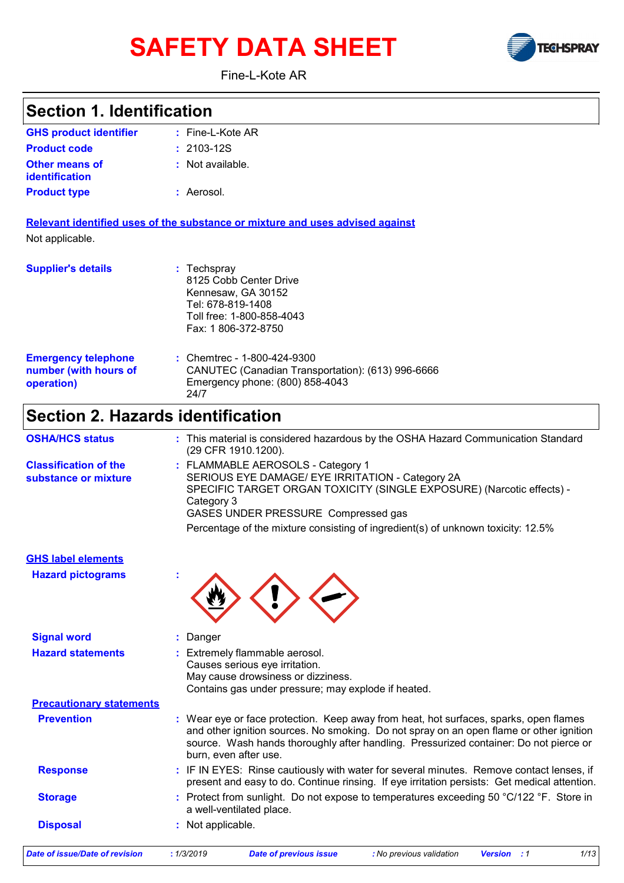# **SAFETY DATA SHEET**



Fine-L-Kote AR

#### Fine-L-Kote AR **: :** Not available. Aerosol. **:** Chemtrec - 1-800-424-9300 **:** CANUTEC (Canadian Transportation): (613) 996-6666 Emergency phone: (800) 858-4043 24/7 **GHS product identifier Other means of identification Product type Emergency telephone number (with hours of operation) Section 1. Identification Supplier's details :** Techspray 8125 Cobb Center Drive Kennesaw, GA 30152 Tel: 678-819-1408 Toll free: 1-800-858-4043 Fax: 1 806-372-8750 **Relevant identified uses of the substance or mixture and uses advised against** Not applicable. **Product code :** 2103-12S **Section 2. Hazards identification** FLAMMABLE AEROSOLS - Category 1 **:** SERIOUS EYE DAMAGE/ EYE IRRITATION - Category 2A SPECIFIC TARGET ORGAN TOXICITY (SINGLE EXPOSURE) (Narcotic effects) - Category 3 GASES UNDER PRESSURE Compressed gas **Classification of the substance or mixture Signal word :** Danger **Hazard statements :** Extremely flammable aerosol. **Hazard pictograms : GHS label elements** Percentage of the mixture consisting of ingredient(s) of unknown toxicity: 12.5% **OSHA/HCS status :** This material is considered hazardous by the OSHA Hazard Communication Standard (29 CFR 1910.1200).

|                                 | Causes serious eye irritation.<br>May cause drowsiness or dizziness.<br>Contains gas under pressure; may explode if heated.                                                                                                                                                                        |
|---------------------------------|----------------------------------------------------------------------------------------------------------------------------------------------------------------------------------------------------------------------------------------------------------------------------------------------------|
| <b>Precautionary statements</b> |                                                                                                                                                                                                                                                                                                    |
| <b>Prevention</b>               | : Wear eye or face protection. Keep away from heat, hot surfaces, sparks, open flames<br>and other ignition sources. No smoking. Do not spray on an open flame or other ignition<br>source. Wash hands thoroughly after handling. Pressurized container: Do not pierce or<br>burn, even after use. |
| <b>Response</b>                 | : IF IN EYES: Rinse cautiously with water for several minutes. Remove contact lenses, if<br>present and easy to do. Continue rinsing. If eye irritation persists: Get medical attention.                                                                                                           |
| <b>Storage</b>                  | : Protect from sunlight. Do not expose to temperatures exceeding 50 °C/122 °F. Store in<br>a well-ventilated place.                                                                                                                                                                                |
| <b>Disposal</b>                 | : Not applicable.                                                                                                                                                                                                                                                                                  |
|                                 |                                                                                                                                                                                                                                                                                                    |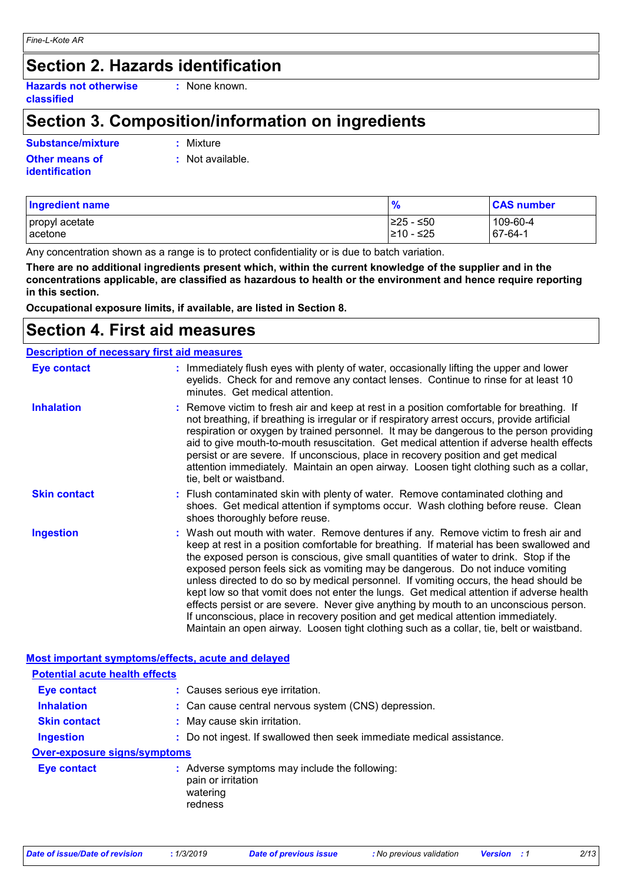### **Section 2. Hazards identification**

**Hazards not otherwise classified**

**:** None known.

### **Section 3. Composition/information on ingredients**

**Substance/mixture :**

: Mixture

**Other means of identification**

**:** Not available.

| Ingredient name  | $\frac{9}{6}$ | <b>CAS number</b> |
|------------------|---------------|-------------------|
| propyl acetate   | $≥25 - ≤50$   | 109-60-4          |
| <b>l</b> acetone | 210 - ≤25     | 67-64-1           |

Any concentration shown as a range is to protect confidentiality or is due to batch variation.

**There are no additional ingredients present which, within the current knowledge of the supplier and in the concentrations applicable, are classified as hazardous to health or the environment and hence require reporting in this section.**

**Occupational exposure limits, if available, are listed in Section 8.**

### **Section 4. First aid measures**

| <b>Description of necessary first aid measures</b> |                                                                                                                                                                                                                                                                                                                                                                                                                                                                                                                                                                                                                                                                                                                                                                                                                           |
|----------------------------------------------------|---------------------------------------------------------------------------------------------------------------------------------------------------------------------------------------------------------------------------------------------------------------------------------------------------------------------------------------------------------------------------------------------------------------------------------------------------------------------------------------------------------------------------------------------------------------------------------------------------------------------------------------------------------------------------------------------------------------------------------------------------------------------------------------------------------------------------|
| <b>Eye contact</b>                                 | : Immediately flush eyes with plenty of water, occasionally lifting the upper and lower<br>eyelids. Check for and remove any contact lenses. Continue to rinse for at least 10<br>minutes. Get medical attention.                                                                                                                                                                                                                                                                                                                                                                                                                                                                                                                                                                                                         |
| <b>Inhalation</b>                                  | : Remove victim to fresh air and keep at rest in a position comfortable for breathing. If<br>not breathing, if breathing is irregular or if respiratory arrest occurs, provide artificial<br>respiration or oxygen by trained personnel. It may be dangerous to the person providing<br>aid to give mouth-to-mouth resuscitation. Get medical attention if adverse health effects<br>persist or are severe. If unconscious, place in recovery position and get medical<br>attention immediately. Maintain an open airway. Loosen tight clothing such as a collar,<br>tie, belt or waistband.                                                                                                                                                                                                                              |
| <b>Skin contact</b>                                | : Flush contaminated skin with plenty of water. Remove contaminated clothing and<br>shoes. Get medical attention if symptoms occur. Wash clothing before reuse. Clean<br>shoes thoroughly before reuse.                                                                                                                                                                                                                                                                                                                                                                                                                                                                                                                                                                                                                   |
| <b>Ingestion</b>                                   | : Wash out mouth with water. Remove dentures if any. Remove victim to fresh air and<br>keep at rest in a position comfortable for breathing. If material has been swallowed and<br>the exposed person is conscious, give small quantities of water to drink. Stop if the<br>exposed person feels sick as vomiting may be dangerous. Do not induce vomiting<br>unless directed to do so by medical personnel. If vomiting occurs, the head should be<br>kept low so that vomit does not enter the lungs. Get medical attention if adverse health<br>effects persist or are severe. Never give anything by mouth to an unconscious person.<br>If unconscious, place in recovery position and get medical attention immediately.<br>Maintain an open airway. Loosen tight clothing such as a collar, tie, belt or waistband. |

#### **Most important symptoms/effects, acute and delayed Inhalation :** Can cause central nervous system (CNS) depression. **Ingestion :** Do not ingest. If swallowed then seek immediate medical assistance. **Skin contact :** May cause skin irritation. **Eye contact :** Causes serious eye irritation. **Over-exposure signs/symptoms Eye contact :** Adverse symptoms may include the following: pain or irritation watering redness **Potential acute health effects**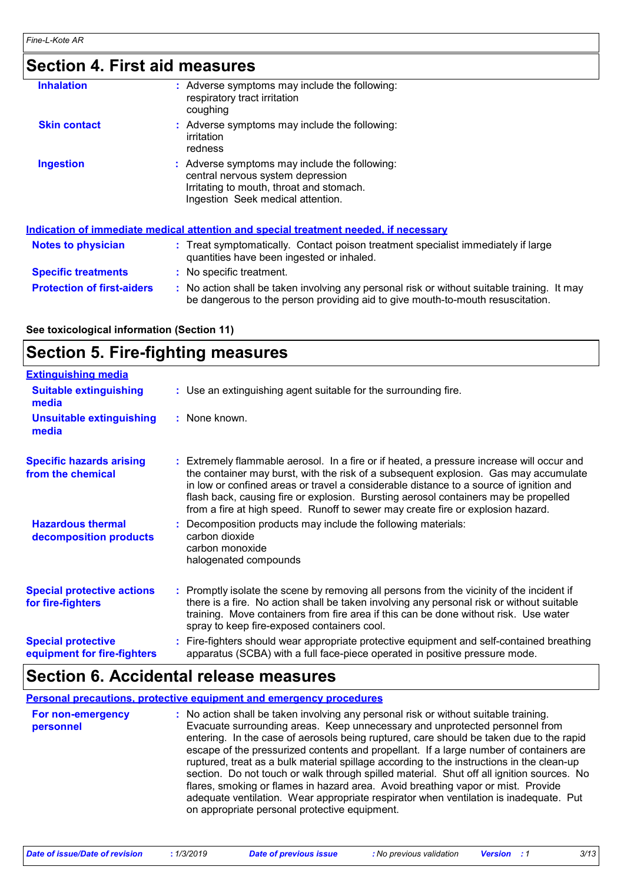# **Section 4. First aid measures**

| <b>Inhalation</b>                 | : Adverse symptoms may include the following:<br>respiratory tract irritation<br>coughing                                                                                     |  |
|-----------------------------------|-------------------------------------------------------------------------------------------------------------------------------------------------------------------------------|--|
| <b>Skin contact</b>               | : Adverse symptoms may include the following:<br>irritation<br>redness                                                                                                        |  |
| <b>Ingestion</b>                  | : Adverse symptoms may include the following:<br>central nervous system depression<br>Irritating to mouth, throat and stomach.<br>Ingestion Seek medical attention.           |  |
|                                   | Indication of immediate medical attention and special treatment needed, if necessary                                                                                          |  |
| <b>Notes to physician</b>         | : Treat symptomatically. Contact poison treatment specialist immediately if large<br>quantities have been ingested or inhaled.                                                |  |
| <b>Specific treatments</b>        | : No specific treatment.                                                                                                                                                      |  |
| <b>Protection of first-aiders</b> | : No action shall be taken involving any personal risk or without suitable training. It may<br>be dangerous to the person providing aid to give mouth-to-mouth resuscitation. |  |

#### **See toxicological information (Section 11)**

### **Section 5. Fire-fighting measures**

| <b>Extinguishing media</b>                               |                                                                                                                                                                                                                                                                                                                                                                                                                                                       |
|----------------------------------------------------------|-------------------------------------------------------------------------------------------------------------------------------------------------------------------------------------------------------------------------------------------------------------------------------------------------------------------------------------------------------------------------------------------------------------------------------------------------------|
| <b>Suitable extinguishing</b><br>media                   | : Use an extinguishing agent suitable for the surrounding fire.                                                                                                                                                                                                                                                                                                                                                                                       |
| <b>Unsuitable extinguishing</b><br>media                 | $:$ None known.                                                                                                                                                                                                                                                                                                                                                                                                                                       |
| <b>Specific hazards arising</b><br>from the chemical     | : Extremely flammable aerosol. In a fire or if heated, a pressure increase will occur and<br>the container may burst, with the risk of a subsequent explosion. Gas may accumulate<br>in low or confined areas or travel a considerable distance to a source of ignition and<br>flash back, causing fire or explosion. Bursting aerosol containers may be propelled<br>from a fire at high speed. Runoff to sewer may create fire or explosion hazard. |
| <b>Hazardous thermal</b><br>decomposition products       | Decomposition products may include the following materials:<br>carbon dioxide<br>carbon monoxide<br>halogenated compounds                                                                                                                                                                                                                                                                                                                             |
| <b>Special protective actions</b><br>for fire-fighters   | : Promptly isolate the scene by removing all persons from the vicinity of the incident if<br>there is a fire. No action shall be taken involving any personal risk or without suitable<br>training. Move containers from fire area if this can be done without risk. Use water<br>spray to keep fire-exposed containers cool.                                                                                                                         |
| <b>Special protective</b><br>equipment for fire-fighters | Fire-fighters should wear appropriate protective equipment and self-contained breathing<br>apparatus (SCBA) with a full face-piece operated in positive pressure mode.                                                                                                                                                                                                                                                                                |

### **Section 6. Accidental release measures**

|                                | <b>Personal precautions, protective equipment and emergency procedures</b>                                                                                                                                                                                                                                                                                                                                                                                                                                                                                                                                                                                                                                                                                                       |
|--------------------------------|----------------------------------------------------------------------------------------------------------------------------------------------------------------------------------------------------------------------------------------------------------------------------------------------------------------------------------------------------------------------------------------------------------------------------------------------------------------------------------------------------------------------------------------------------------------------------------------------------------------------------------------------------------------------------------------------------------------------------------------------------------------------------------|
| For non-emergency<br>personnel | : No action shall be taken involving any personal risk or without suitable training.<br>Evacuate surrounding areas. Keep unnecessary and unprotected personnel from<br>entering. In the case of aerosols being ruptured, care should be taken due to the rapid<br>escape of the pressurized contents and propellant. If a large number of containers are<br>ruptured, treat as a bulk material spillage according to the instructions in the clean-up<br>section. Do not touch or walk through spilled material. Shut off all ignition sources. No<br>flares, smoking or flames in hazard area. Avoid breathing vapor or mist. Provide<br>adequate ventilation. Wear appropriate respirator when ventilation is inadequate. Put<br>on appropriate personal protective equipment. |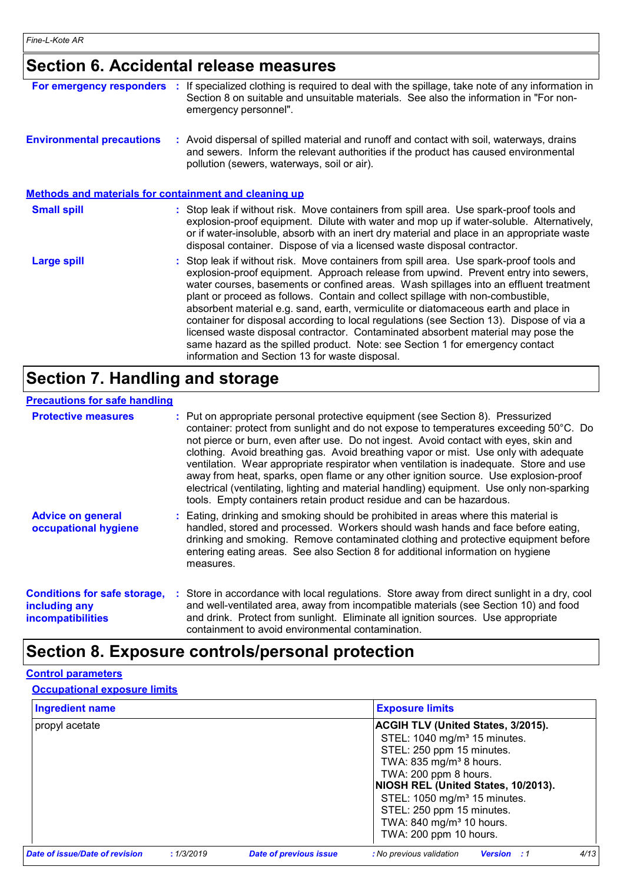# **Section 6. Accidental release measures**

| For emergency responders                              | If specialized clothing is required to deal with the spillage, take note of any information in<br>Section 8 on suitable and unsuitable materials. See also the information in "For non-<br>emergency personnel".                                                                                                                                                                                                                                                                                                                                                                                                                                                                                                                                                     |
|-------------------------------------------------------|----------------------------------------------------------------------------------------------------------------------------------------------------------------------------------------------------------------------------------------------------------------------------------------------------------------------------------------------------------------------------------------------------------------------------------------------------------------------------------------------------------------------------------------------------------------------------------------------------------------------------------------------------------------------------------------------------------------------------------------------------------------------|
| <b>Environmental precautions</b>                      | : Avoid dispersal of spilled material and runoff and contact with soil, waterways, drains<br>and sewers. Inform the relevant authorities if the product has caused environmental<br>pollution (sewers, waterways, soil or air).                                                                                                                                                                                                                                                                                                                                                                                                                                                                                                                                      |
| Methods and materials for containment and cleaning up |                                                                                                                                                                                                                                                                                                                                                                                                                                                                                                                                                                                                                                                                                                                                                                      |
| <b>Small spill</b>                                    | : Stop leak if without risk. Move containers from spill area. Use spark-proof tools and<br>explosion-proof equipment. Dilute with water and mop up if water-soluble. Alternatively,<br>or if water-insoluble, absorb with an inert dry material and place in an appropriate waste<br>disposal container. Dispose of via a licensed waste disposal contractor.                                                                                                                                                                                                                                                                                                                                                                                                        |
| <b>Large spill</b>                                    | : Stop leak if without risk. Move containers from spill area. Use spark-proof tools and<br>explosion-proof equipment. Approach release from upwind. Prevent entry into sewers,<br>water courses, basements or confined areas. Wash spillages into an effluent treatment<br>plant or proceed as follows. Contain and collect spillage with non-combustible,<br>absorbent material e.g. sand, earth, vermiculite or diatomaceous earth and place in<br>container for disposal according to local regulations (see Section 13). Dispose of via a<br>licensed waste disposal contractor. Contaminated absorbent material may pose the<br>same hazard as the spilled product. Note: see Section 1 for emergency contact<br>information and Section 13 for waste disposal. |

# **Section 7. Handling and storage**

#### **Precautions for safe handling**

| <b>Protective measures</b>                                                |           | : Put on appropriate personal protective equipment (see Section 8). Pressurized<br>container: protect from sunlight and do not expose to temperatures exceeding 50°C. Do<br>not pierce or burn, even after use. Do not ingest. Avoid contact with eyes, skin and<br>clothing. Avoid breathing gas. Avoid breathing vapor or mist. Use only with adequate<br>ventilation. Wear appropriate respirator when ventilation is inadequate. Store and use<br>away from heat, sparks, open flame or any other ignition source. Use explosion-proof<br>electrical (ventilating, lighting and material handling) equipment. Use only non-sparking<br>tools. Empty containers retain product residue and can be hazardous. |
|---------------------------------------------------------------------------|-----------|-----------------------------------------------------------------------------------------------------------------------------------------------------------------------------------------------------------------------------------------------------------------------------------------------------------------------------------------------------------------------------------------------------------------------------------------------------------------------------------------------------------------------------------------------------------------------------------------------------------------------------------------------------------------------------------------------------------------|
| <b>Advice on general</b><br>occupational hygiene                          | measures. | : Eating, drinking and smoking should be prohibited in areas where this material is<br>handled, stored and processed. Workers should wash hands and face before eating,<br>drinking and smoking. Remove contaminated clothing and protective equipment before<br>entering eating areas. See also Section 8 for additional information on hygiene                                                                                                                                                                                                                                                                                                                                                                |
| <b>Conditions for safe storage,</b><br>including any<br>incompatibilities |           | : Store in accordance with local regulations. Store away from direct sunlight in a dry, cool<br>and well-ventilated area, away from incompatible materials (see Section 10) and food<br>and drink. Protect from sunlight. Eliminate all ignition sources. Use appropriate<br>containment to avoid environmental contamination.                                                                                                                                                                                                                                                                                                                                                                                  |

### **Section 8. Exposure controls/personal protection**

#### **Control parameters**

#### **Occupational exposure limits**

| <b>Ingredient name</b>                |            |                               | <b>Exposure limits</b>                                 |
|---------------------------------------|------------|-------------------------------|--------------------------------------------------------|
| propyl acetate                        |            |                               | <b>ACGIH TLV (United States, 3/2015).</b>              |
|                                       |            |                               | STEL: 1040 mg/m <sup>3</sup> 15 minutes.               |
|                                       |            |                               | STEL: 250 ppm 15 minutes.                              |
|                                       |            |                               | TWA: 835 mg/m <sup>3</sup> 8 hours.                    |
|                                       |            |                               | TWA: 200 ppm 8 hours.                                  |
|                                       |            |                               | NIOSH REL (United States, 10/2013).                    |
|                                       |            |                               | STEL: 1050 mg/m <sup>3</sup> 15 minutes.               |
|                                       |            |                               | STEL: 250 ppm 15 minutes.                              |
|                                       |            |                               | TWA: 840 mg/m <sup>3</sup> 10 hours.                   |
|                                       |            |                               | TWA: 200 ppm 10 hours.                                 |
| <b>Date of issue/Date of revision</b> | : 1/3/2019 | <b>Date of previous issue</b> | 4/13<br>: No previous validation<br><b>Version</b> : 1 |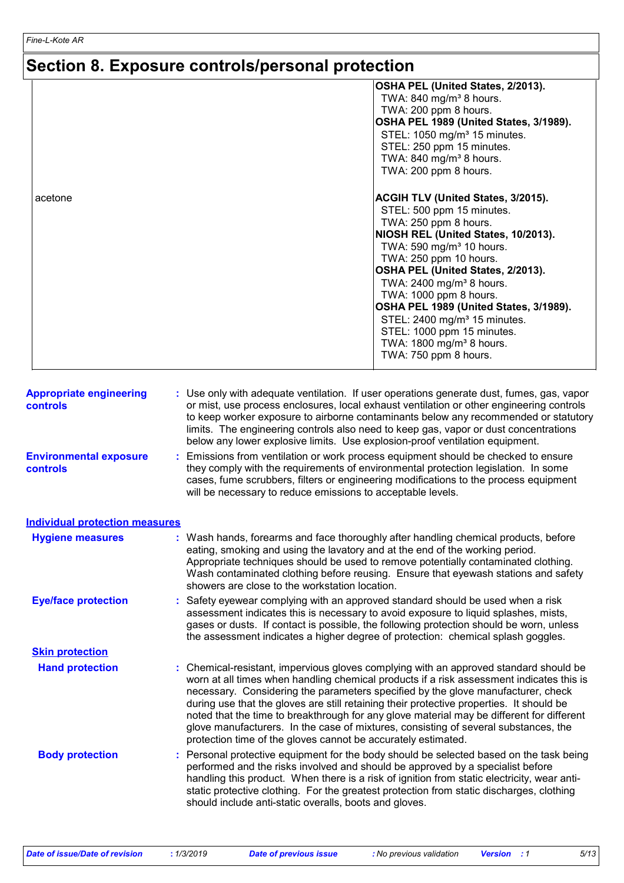### **Section 8. Exposure controls/personal protection**

|                                            | Section 6. Exposure controls/personal protection                                                                                                                                                                                                                                                                                                                                                                                                                                              |
|--------------------------------------------|-----------------------------------------------------------------------------------------------------------------------------------------------------------------------------------------------------------------------------------------------------------------------------------------------------------------------------------------------------------------------------------------------------------------------------------------------------------------------------------------------|
|                                            | OSHA PEL (United States, 2/2013).<br>TWA: 840 mg/m <sup>3</sup> 8 hours.<br>TWA: 200 ppm 8 hours.<br>OSHA PEL 1989 (United States, 3/1989).<br>STEL: 1050 mg/m <sup>3</sup> 15 minutes.<br>STEL: 250 ppm 15 minutes.<br>TWA: 840 mg/m <sup>3</sup> 8 hours.<br>TWA: 200 ppm 8 hours.                                                                                                                                                                                                          |
| acetone                                    | ACGIH TLV (United States, 3/2015).<br>STEL: 500 ppm 15 minutes.<br>TWA: 250 ppm 8 hours.<br>NIOSH REL (United States, 10/2013).<br>TWA: 590 mg/m <sup>3</sup> 10 hours.<br>TWA: 250 ppm 10 hours.<br>OSHA PEL (United States, 2/2013).<br>TWA: 2400 mg/m <sup>3</sup> 8 hours.<br>TWA: 1000 ppm 8 hours.<br>OSHA PEL 1989 (United States, 3/1989).<br>STEL: 2400 mg/m <sup>3</sup> 15 minutes.<br>STEL: 1000 ppm 15 minutes.<br>TWA: 1800 mg/m <sup>3</sup> 8 hours.<br>TWA: 750 ppm 8 hours. |
| <b>Appropriate engineering</b><br>controls | : Use only with adequate ventilation. If user operations generate dust, fumes, gas, vapor<br>or mist, use process enclosures, local exhaust ventilation or other engineering controls<br>to keep worker exposure to airborne contaminants below any recommended or statutory<br>limits. The engineering controls also need to keep gas, vapor or dust concentrations<br>below any lower explosive limits. Use explosion-proof ventilation equipment.                                          |
| <b>Environmental exposure</b><br>controls  | : Emissions from ventilation or work process equipment should be checked to ensure<br>they comply with the requirements of environmental protection legislation. In some<br>cases, fume scrubbers, filters or engineering modifications to the process equipment<br>will be necessary to reduce emissions to acceptable levels.                                                                                                                                                               |
| <b>Individual protection measures</b>      |                                                                                                                                                                                                                                                                                                                                                                                                                                                                                               |
| <b>Hygiene measures</b>                    | : Wash hands, forearms and face thoroughly after handling chemical products, before<br>eating, smoking and using the lavatory and at the end of the working period.<br>Appropriate techniques should be used to remove potentially contaminated clothing.<br>Wash contaminated clothing before reusing. Ensure that eyewash stations and safety<br>showers are close to the workstation location.                                                                                             |
| <b>Eye/face protection</b>                 | : Safety eyewear complying with an approved standard should be used when a risk<br>assessment indicates this is necessary to avoid exposure to liquid splashes, mists,<br>gases or dusts. If contact is possible, the following protection should be worn, unless<br>the assessment indicates a higher degree of protection: chemical splash goggles.                                                                                                                                         |
| <b>Skin protection</b>                     |                                                                                                                                                                                                                                                                                                                                                                                                                                                                                               |
| <b>Hand protection</b>                     | : Chemical-resistant, impervious gloves complying with an approved standard should be<br>worn at all times when handling chemical products if a risk assessment indicates this is<br>necessary. Considering the parameters specified by the glove manufacturer, check<br>during use that the gloves are still retaining their protective properties. It should be<br>noted that the time to breakthrough for any glove material may be different for different                                |

protection time of the gloves cannot be accurately estimated. **Body protection** : Personal protective equipment for the body should be selected based on the task being **Body** performed and the risks involved and should be approved by a specialist before handling this product. When there is a risk of ignition from static electricity, wear antistatic protective clothing. For the greatest protection from static discharges, clothing should include anti-static overalls, boots and gloves.

glove manufacturers. In the case of mixtures, consisting of several substances, the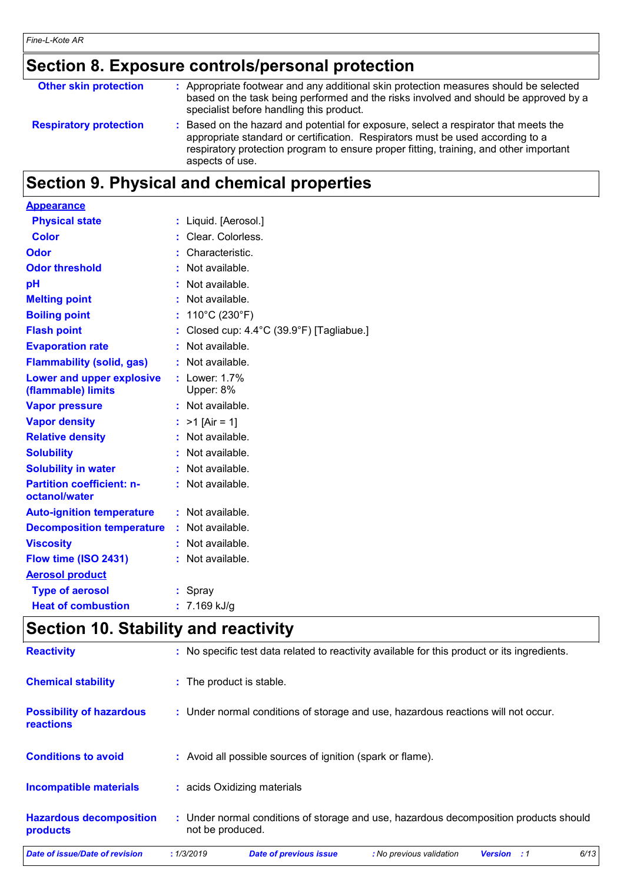# **Section 8. Exposure controls/personal protection**

| <b>Other skin protection</b>  | : Appropriate footwear and any additional skin protection measures should be selected<br>based on the task being performed and the risks involved and should be approved by a<br>specialist before handling this product.                                                           |
|-------------------------------|-------------------------------------------------------------------------------------------------------------------------------------------------------------------------------------------------------------------------------------------------------------------------------------|
| <b>Respiratory protection</b> | : Based on the hazard and potential for exposure, select a respirator that meets the<br>appropriate standard or certification. Respirators must be used according to a<br>respiratory protection program to ensure proper fitting, training, and other important<br>aspects of use. |

# **Section 9. Physical and chemical properties**

| <b>Appearance</b>                                 |                                                     |
|---------------------------------------------------|-----------------------------------------------------|
| <b>Physical state</b>                             | : Liquid. [Aerosol.]                                |
| <b>Color</b>                                      | : Clear. Colorless.                                 |
| Odor                                              | Characteristic.                                     |
| <b>Odor threshold</b>                             | Not available.                                      |
| pH                                                | Not available.                                      |
| <b>Melting point</b>                              | : Not available.                                    |
| <b>Boiling point</b>                              | : $110^{\circ}$ C (230 $^{\circ}$ F)                |
| <b>Flash point</b>                                | : Closed cup: $4.4^{\circ}$ C (39.9°F) [Tagliabue.] |
| <b>Evaporation rate</b>                           | : Not available.                                    |
| <b>Flammability (solid, gas)</b>                  | : Not available.                                    |
| <b>Lower and upper explosive</b>                  | $:$ Lower: 1.7%                                     |
| (flammable) limits                                | Upper: 8%                                           |
| <b>Vapor pressure</b>                             | : Not available.                                    |
| <b>Vapor density</b>                              | : $>1$ [Air = 1]                                    |
| <b>Relative density</b>                           | : Not available.                                    |
| <b>Solubility</b>                                 | : Not available.                                    |
| <b>Solubility in water</b>                        | : Not available.                                    |
| <b>Partition coefficient: n-</b><br>octanol/water | : Not available.                                    |
| <b>Auto-ignition temperature</b>                  | : Not available.                                    |
| <b>Decomposition temperature</b>                  | : Not available.                                    |
| <b>Viscosity</b>                                  | : Not available.                                    |
| Flow time (ISO 2431)                              | : Not available.                                    |
| <b>Aerosol product</b>                            |                                                     |
| <b>Type of aerosol</b>                            | : Spray                                             |
| <b>Heat of combustion</b>                         | $: 7.169$ kJ/g                                      |

# **Section 10. Stability and reactivity**

| products                                            | not be produced.                                                                             |  |  |  |  |
|-----------------------------------------------------|----------------------------------------------------------------------------------------------|--|--|--|--|
| <b>Hazardous decomposition</b>                      | : Under normal conditions of storage and use, hazardous decomposition products should        |  |  |  |  |
| <b>Incompatible materials</b>                       | : acids Oxidizing materials                                                                  |  |  |  |  |
| <b>Conditions to avoid</b>                          | : Avoid all possible sources of ignition (spark or flame).                                   |  |  |  |  |
| <b>Possibility of hazardous</b><br><b>reactions</b> | : Under normal conditions of storage and use, hazardous reactions will not occur.            |  |  |  |  |
| <b>Chemical stability</b>                           | : The product is stable.                                                                     |  |  |  |  |
| <b>Reactivity</b>                                   | : No specific test data related to reactivity available for this product or its ingredients. |  |  |  |  |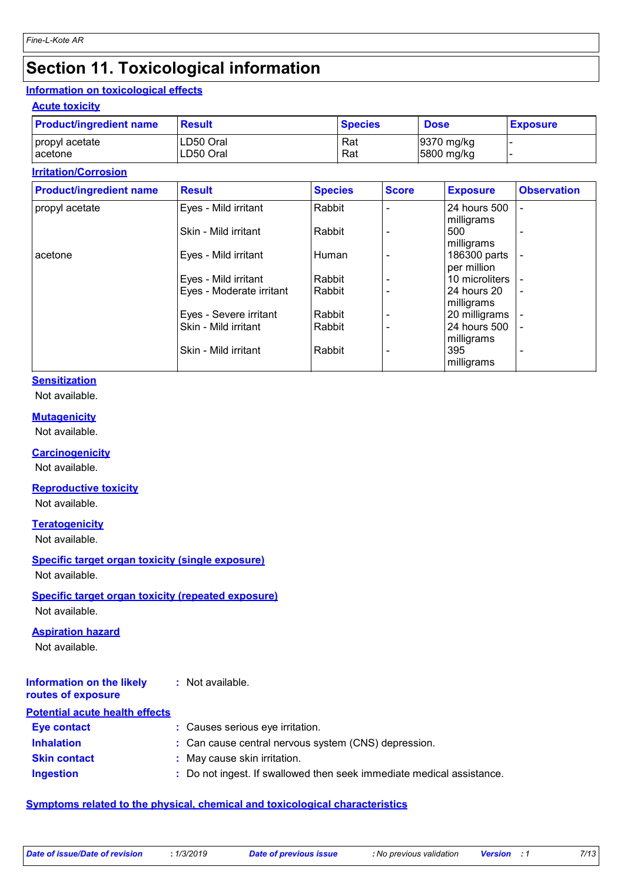### **Section 11. Toxicological information**

#### **Information on toxicological effects**

**Acute toxicity**

| <b>Product/ingredient name</b> | <b>Result</b> | <b>Species</b> | <b>Dose</b> | <b>Exposure</b> |
|--------------------------------|---------------|----------------|-------------|-----------------|
| propyl acetate                 | LD50 Oral     | Rat            | 9370 mg/kg  |                 |
| l acetone                      | LD50 Oral     | Rat            | 5800 mg/kg  |                 |

#### **Irritation/Corrosion**

| <b>Product/ingredient name</b> | <b>Result</b>            | <b>Species</b> | <b>Score</b> | <b>Exposure</b>             | <b>Observation</b>       |
|--------------------------------|--------------------------|----------------|--------------|-----------------------------|--------------------------|
| propyl acetate                 | Eyes - Mild irritant     | Rabbit         |              | 24 hours 500<br>milligrams  | $\overline{\phantom{0}}$ |
|                                | Skin - Mild irritant     | Rabbit         |              | 500<br>milligrams           | ۰                        |
| acetone                        | Eyes - Mild irritant     | Human          |              | 186300 parts<br>per million | $\overline{\phantom{a}}$ |
|                                | Eyes - Mild irritant     | Rabbit         |              | 10 microliters              |                          |
|                                | Eyes - Moderate irritant | Rabbit         |              | 24 hours 20<br>milligrams   | $\blacksquare$           |
|                                | Eyes - Severe irritant   | Rabbit         |              | 20 milligrams               |                          |
|                                | Skin - Mild irritant     | Rabbit         |              | 24 hours 500<br>milligrams  | $\overline{\phantom{0}}$ |
|                                | Skin - Mild irritant     | Rabbit         |              | 395<br>milligrams           | ۰                        |

#### **Sensitization**

Not available.

#### **Mutagenicity**

Not available.

#### **Carcinogenicity**

Not available.

#### **Reproductive toxicity**

Not available.

#### **Teratogenicity**

Not available.

### **Specific target organ toxicity (single exposure)**

Not available.

#### **Specific target organ toxicity (repeated exposure)**

Not available.

#### **Aspiration hazard**

Not available.

#### **Information on the likely routes of exposure :** Not available.

#### **Potential acute health effects**

| Eye contact         | : Causes serious eye irritation.                                      |
|---------------------|-----------------------------------------------------------------------|
| <b>Inhalation</b>   | : Can cause central nervous system (CNS) depression.                  |
| <b>Skin contact</b> | : May cause skin irritation.                                          |
| <b>Ingestion</b>    | : Do not ingest. If swallowed then seek immediate medical assistance. |

#### **Symptoms related to the physical, chemical and toxicological characteristics**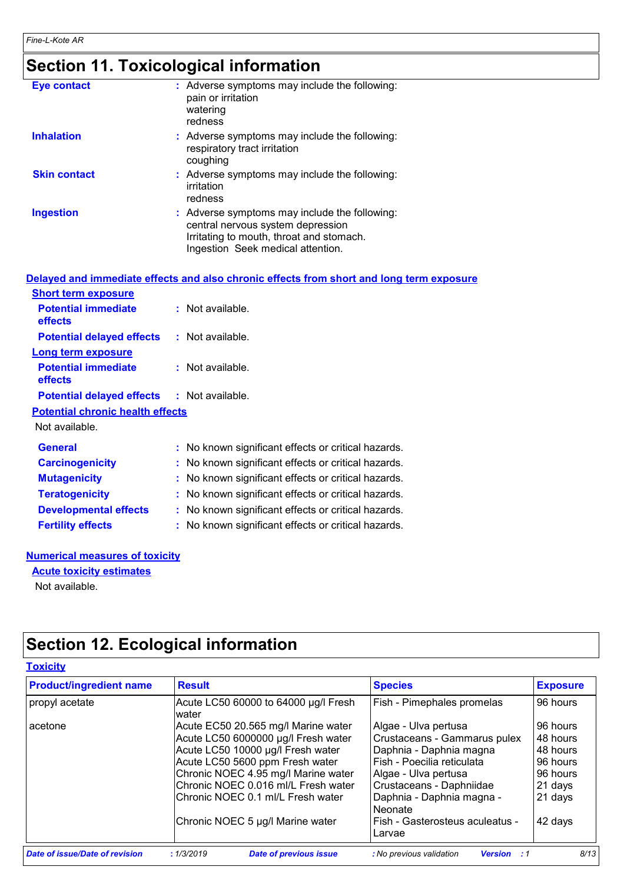# **Section 11. Toxicological information**

| <b>Eye contact</b>  | : Adverse symptoms may include the following:<br>pain or irritation<br>watering<br>redness                                                                          |
|---------------------|---------------------------------------------------------------------------------------------------------------------------------------------------------------------|
| <b>Inhalation</b>   | : Adverse symptoms may include the following:<br>respiratory tract irritation<br>coughing                                                                           |
| <b>Skin contact</b> | : Adverse symptoms may include the following:<br>irritation<br>redness                                                                                              |
| <b>Ingestion</b>    | : Adverse symptoms may include the following:<br>central nervous system depression<br>Irritating to mouth, throat and stomach.<br>Ingestion Seek medical attention. |

|                                                   | Delayed and immediate effects and also chronic effects from short and long term exposure |
|---------------------------------------------------|------------------------------------------------------------------------------------------|
| <b>Short term exposure</b>                        |                                                                                          |
| <b>Potential immediate</b><br><b>effects</b>      | $:$ Not available.                                                                       |
| <b>Potential delayed effects</b>                  | : Not available.                                                                         |
| <b>Long term exposure</b>                         |                                                                                          |
| <b>Potential immediate</b><br><b>effects</b>      | $:$ Not available.                                                                       |
| <b>Potential delayed effects : Not available.</b> |                                                                                          |
| <b>Potential chronic health effects</b>           |                                                                                          |
| Not available.                                    |                                                                                          |
| <b>General</b>                                    | : No known significant effects or critical hazards.                                      |
| <b>Carcinogenicity</b>                            | : No known significant effects or critical hazards.                                      |
| <b>Mutagenicity</b>                               | : No known significant effects or critical hazards.                                      |
| <b>Teratogenicity</b>                             | : No known significant effects or critical hazards.                                      |
| <b>Developmental effects</b>                      | : No known significant effects or critical hazards.                                      |
| <b>Fertility effects</b>                          | : No known significant effects or critical hazards.                                      |

#### **Numerical measures of toxicity**

Not available. **Acute toxicity estimates**

# **Section 12. Ecological information**

#### **Toxicity**

| <b>Product/ingredient name</b>                                                                                                                                                                                                                                                                                       | <b>Result</b>                                 | <b>Species</b>                                                                                                                                                                                                                                                | <b>Exposure</b>                                                                           |  |
|----------------------------------------------------------------------------------------------------------------------------------------------------------------------------------------------------------------------------------------------------------------------------------------------------------------------|-----------------------------------------------|---------------------------------------------------------------------------------------------------------------------------------------------------------------------------------------------------------------------------------------------------------------|-------------------------------------------------------------------------------------------|--|
| propyl acetate                                                                                                                                                                                                                                                                                                       | Acute LC50 60000 to 64000 µg/l Fresh<br>water | Fish - Pimephales promelas                                                                                                                                                                                                                                    | 96 hours                                                                                  |  |
| Acute EC50 20.565 mg/l Marine water<br>acetone<br>Acute LC50 6000000 µg/l Fresh water<br>Acute LC50 10000 µg/l Fresh water<br>Acute LC50 5600 ppm Fresh water<br>Chronic NOEC 4.95 mg/l Marine water<br>Chronic NOEC 0.016 ml/L Fresh water<br>Chronic NOEC 0.1 ml/L Fresh water<br>Chronic NOEC 5 µg/l Marine water |                                               | Algae - Ulva pertusa<br>Crustaceans - Gammarus pulex<br>Daphnia - Daphnia magna<br>Fish - Poecilia reticulata<br>Algae - Ulva pertusa<br>Crustaceans - Daphniidae<br>Daphnia - Daphnia magna -<br><b>Neonate</b><br>Fish - Gasterosteus aculeatus -<br>Larvae | 96 hours<br>48 hours<br>48 hours<br>96 hours<br>96 hours<br>21 days<br>21 days<br>42 days |  |
| Date of issue/Date of revision                                                                                                                                                                                                                                                                                       | : 1/3/2019<br><b>Date of previous issue</b>   | : No previous validation<br><b>Version</b> : 1                                                                                                                                                                                                                | 8/13                                                                                      |  |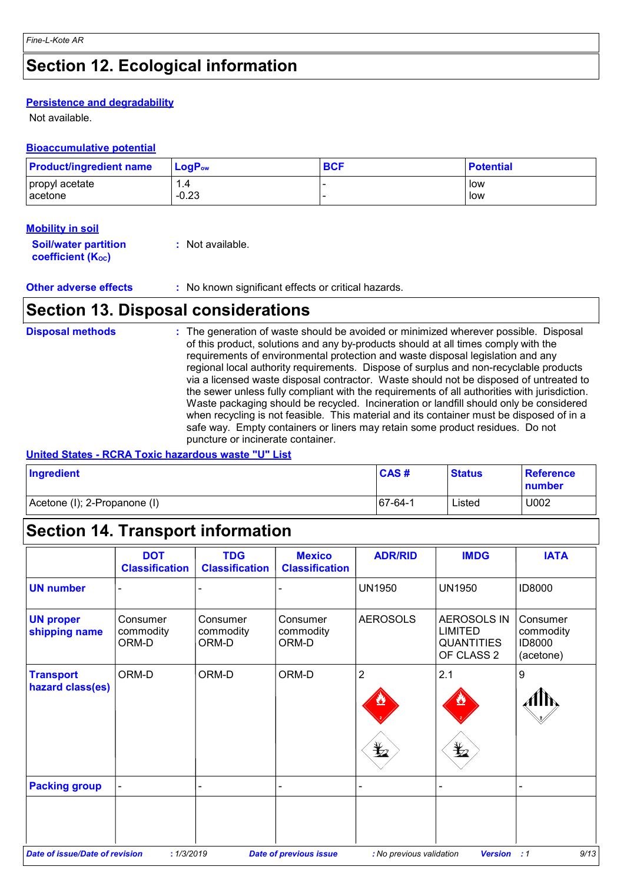### **Section 12. Ecological information**

#### **Persistence and degradability**

Not available.

#### **Bioaccumulative potential**

| <b>Product/ingredient name</b> | $\mathsf{LogP}_\mathsf{ow}$ | <b>BCF</b> | <b>Potential</b> |
|--------------------------------|-----------------------------|------------|------------------|
| propyl acetate                 |                             |            | low              |
| acetone                        | $-0.23$                     |            | low              |

#### **Mobility in soil**

| <b>Soil/water partition</b> | : Not available. |
|-----------------------------|------------------|
| <b>coefficient (Koc)</b>    |                  |

### **Section 13. Disposal considerations**

#### The generation of waste should be avoided or minimized wherever possible. Disposal of this product, solutions and any by-products should at all times comply with the requirements of environmental protection and waste disposal legislation and any regional local authority requirements. Dispose of surplus and non-recyclable products via a licensed waste disposal contractor. Waste should not be disposed of untreated to the sewer unless fully compliant with the requirements of all authorities with jurisdiction. Waste packaging should be recycled. Incineration or landfill should only be considered when recycling is not feasible. This material and its container must be disposed of in a safe way. Empty containers or liners may retain some product residues. Do not puncture or incinerate container. **Disposal methods :**

#### **United States - RCRA Toxic hazardous waste "U" List**

| Ingredient                   | CAS#    | <b>Status</b> | <b>Reference</b><br>number |
|------------------------------|---------|---------------|----------------------------|
| Acetone (I); 2-Propanone (I) | 67-64-1 | Listed        | U002                       |

### **Section 14. Transport information**

|                                       | <b>DOT</b><br><b>Classification</b> | <b>TDG</b><br><b>Classification</b> | <b>Mexico</b><br><b>Classification</b> | <b>ADR/RID</b>           | <b>IMDG</b>                                                      | <b>IATA</b>                                  |
|---------------------------------------|-------------------------------------|-------------------------------------|----------------------------------------|--------------------------|------------------------------------------------------------------|----------------------------------------------|
| <b>UN number</b>                      |                                     |                                     |                                        | <b>UN1950</b>            | <b>UN1950</b>                                                    | <b>ID8000</b>                                |
| <b>UN proper</b><br>shipping name     | Consumer<br>commodity<br>ORM-D      | Consumer<br>commodity<br>ORM-D      | Consumer<br>commodity<br>ORM-D         | <b>AEROSOLS</b>          | AEROSOLS IN<br><b>LIMITED</b><br><b>QUANTITIES</b><br>OF CLASS 2 | Consumer<br>commodity<br>ID8000<br>(acetone) |
| <b>Transport</b><br>hazard class(es)  | ORM-D                               | ORM-D                               | ORM-D                                  | $\overline{2}$           | 2.1                                                              | $\boldsymbol{9}$                             |
|                                       |                                     |                                     |                                        | $\bigstar$               | $\mathbf{\mathbf{\underline{\mathbf{\Psi}}}}$                    |                                              |
| <b>Packing group</b>                  |                                     |                                     |                                        |                          |                                                                  |                                              |
| <b>Date of issue/Date of revision</b> | : 1/3/2019                          |                                     | <b>Date of previous issue</b>          | : No previous validation | <b>Version</b>                                                   | 9/13<br>$\therefore$ 1                       |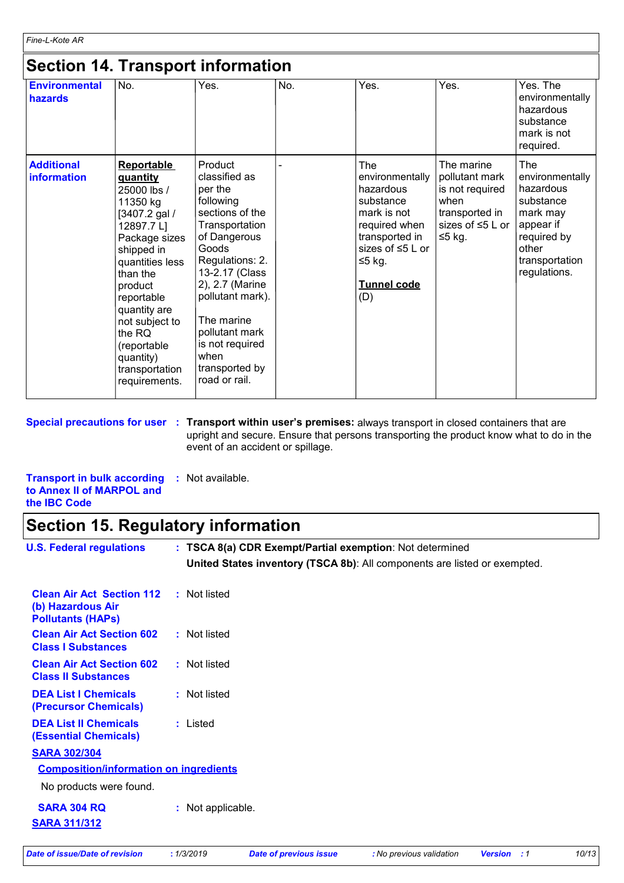### **Section 14. Transport information**

| <b>Environmental</b><br>hazards  | No.                                                                                                                                                                                                                                                                                              | Yes.                                                                                                                                                                                                                                                                                     | No. | Yes.                                                                                                                                                                  | Yes.                                                                                                            | Yes. The<br>environmentally<br>hazardous<br>substance<br>mark is not<br>required.                                                   |
|----------------------------------|--------------------------------------------------------------------------------------------------------------------------------------------------------------------------------------------------------------------------------------------------------------------------------------------------|------------------------------------------------------------------------------------------------------------------------------------------------------------------------------------------------------------------------------------------------------------------------------------------|-----|-----------------------------------------------------------------------------------------------------------------------------------------------------------------------|-----------------------------------------------------------------------------------------------------------------|-------------------------------------------------------------------------------------------------------------------------------------|
| <b>Additional</b><br>information | <b>Reportable</b><br><b>guantity</b><br>25000 lbs /<br>11350 kg<br>[3407.2 gal /<br>12897.7L]<br>Package sizes<br>shipped in<br>quantities less<br>than the<br>product<br>reportable<br>quantity are<br>not subject to<br>the RQ<br>(reportable)<br>quantity)<br>transportation<br>requirements. | Product<br>classified as<br>per the<br>following<br>sections of the<br>Transportation<br>of Dangerous<br>Goods<br>Regulations: 2.<br>13-2.17 (Class<br>2), 2.7 (Marine<br>pollutant mark).<br>The marine<br>pollutant mark<br>is not required<br>when<br>transported by<br>road or rail. |     | <b>The</b><br>environmentally<br>hazardous<br>substance<br>mark is not<br>required when<br>transported in<br>sizes of $\leq 5$ L or<br>$≤5$ kg.<br>Tunnel code<br>(D) | The marine<br>pollutant mark<br>is not required<br>when<br>transported in<br>sizes of $\leq 5$ L or<br>$≤5$ kg. | The<br>environmentally<br>hazardous<br>substance<br>mark may<br>appear if<br>required by<br>other<br>transportation<br>regulations. |

**Special precautions for user** : Transport within user's premises: always transport in closed containers that are upright and secure. Ensure that persons transporting the product know what to do in the event of an accident or spillage.

**Transport in bulk according :** Not available. **to Annex II of MARPOL and the IBC Code**

### **Section 15. Regulatory information**

| <b>U.S. Federal regulations</b>                                                   |                   | : TSCA 8(a) CDR Exempt/Partial exemption: Not determined                  |                          |                    |       |
|-----------------------------------------------------------------------------------|-------------------|---------------------------------------------------------------------------|--------------------------|--------------------|-------|
|                                                                                   |                   | United States inventory (TSCA 8b): All components are listed or exempted. |                          |                    |       |
| <b>Clean Air Act Section 112</b><br>(b) Hazardous Air<br><b>Pollutants (HAPS)</b> | : Not listed      |                                                                           |                          |                    |       |
| <b>Clean Air Act Section 602</b><br><b>Class I Substances</b>                     | : Not listed      |                                                                           |                          |                    |       |
| <b>Clean Air Act Section 602</b><br><b>Class II Substances</b>                    | : Not listed      |                                                                           |                          |                    |       |
| <b>DEA List I Chemicals</b><br>(Precursor Chemicals)                              | : Not listed      |                                                                           |                          |                    |       |
| <b>DEA List II Chemicals</b><br><b>(Essential Chemicals)</b>                      | : Listed          |                                                                           |                          |                    |       |
| <b>SARA 302/304</b>                                                               |                   |                                                                           |                          |                    |       |
| <b>Composition/information on ingredients</b>                                     |                   |                                                                           |                          |                    |       |
| No products were found.                                                           |                   |                                                                           |                          |                    |       |
| <b>SARA 304 RQ</b>                                                                | : Not applicable. |                                                                           |                          |                    |       |
| <b>SARA 311/312</b>                                                               |                   |                                                                           |                          |                    |       |
| <b>Date of issue/Date of revision</b>                                             | : 1/3/2019        | <b>Date of previous issue</b>                                             | : No previous validation | <b>Version</b> : 1 | 10/13 |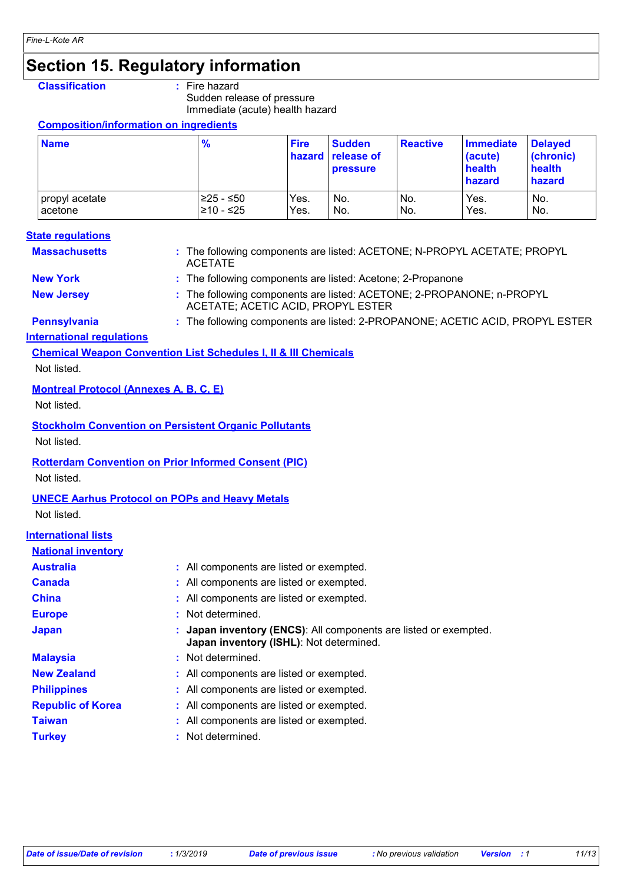### **Section 15. Regulatory information**

#### **Classification :** Fire hazard

Sudden release of pressure

Immediate (acute) health hazard

#### **Composition/information on ingredients**

| <b>Name</b>    | $\frac{9}{6}$ | <b>Fire</b> | <b>Sudden</b><br><b>hazard</b> release of<br><b>pressure</b> | <b>Reactive</b> | <b>Immediate</b><br>(acute)<br>health<br>hazard | <b>Delaved</b><br>(chronic)<br>health<br>hazard |
|----------------|---------------|-------------|--------------------------------------------------------------|-----------------|-------------------------------------------------|-------------------------------------------------|
| propyl acetate | l≥25 - ≤50    | Yes.        | No.                                                          | No.             | Yes.                                            | No.                                             |
| l acetone      | l≥10 - ≤25    | Yes.        | No.                                                          | No.             | Yes.                                            | No.                                             |

#### **State regulations**

| <b>Massachusetts</b> | ACETATE                                                     | : The following components are listed: ACETONE; N-PROPYL ACETATE; PROPYL |
|----------------------|-------------------------------------------------------------|--------------------------------------------------------------------------|
| <b>New York</b>      | : The following components are listed: Acetone; 2-Propanone |                                                                          |
| <b>New Jersey</b>    |                                                             | : The following components are listed: ACETONE; 2-PROPANONE; n-PROPYL    |

ACETATE; ACETIC ACID, PROPYL ESTER **Pennsylvania :** The following components are listed: 2-PROPANONE; ACETIC ACID, PROPYL ESTER

#### **International regulations**

**Chemical Weapon Convention List Schedules I, II & III Chemicals** Not listed.

#### **Montreal Protocol (Annexes A, B, C, E)**

Not listed.

**Stockholm Convention on Persistent Organic Pollutants**

Not listed.

#### **Rotterdam Convention on Prior Informed Consent (PIC)**

Not listed.

#### **UNECE Aarhus Protocol on POPs and Heavy Metals**

Not listed.

#### **International lists**

| <b>National inventory</b> |                                                                                                             |
|---------------------------|-------------------------------------------------------------------------------------------------------------|
| <b>Australia</b>          | : All components are listed or exempted.                                                                    |
| Canada                    | : All components are listed or exempted.                                                                    |
| <b>China</b>              | : All components are listed or exempted.                                                                    |
| <b>Europe</b>             | : Not determined.                                                                                           |
| <b>Japan</b>              | : Japan inventory (ENCS): All components are listed or exempted.<br>Japan inventory (ISHL): Not determined. |
| <b>Malaysia</b>           | : Not determined.                                                                                           |
| <b>New Zealand</b>        | : All components are listed or exempted.                                                                    |
| <b>Philippines</b>        | : All components are listed or exempted.                                                                    |
| <b>Republic of Korea</b>  | : All components are listed or exempted.                                                                    |
| <b>Taiwan</b>             | : All components are listed or exempted.                                                                    |
| <b>Turkey</b>             | : Not determined.                                                                                           |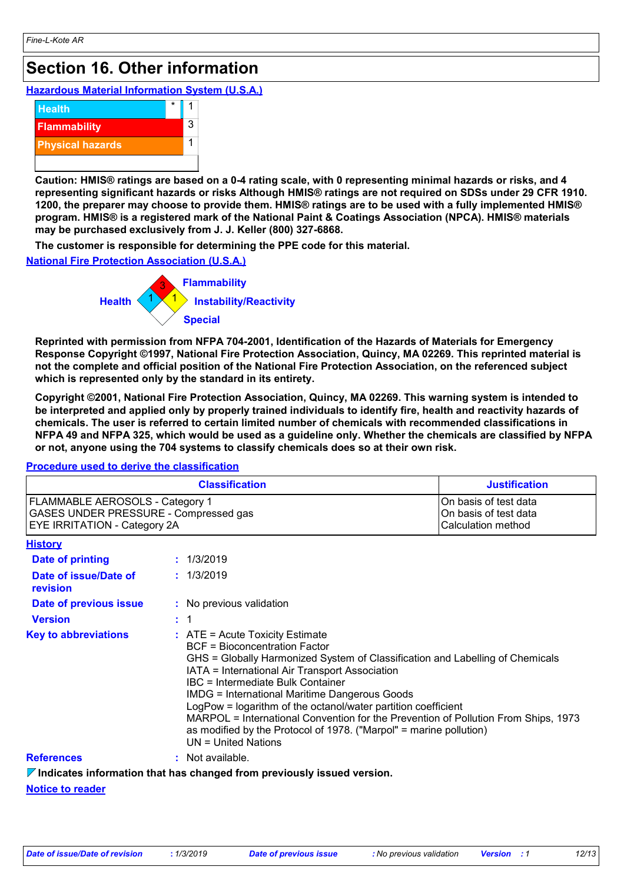### **Section 16. Other information**

**Hazardous Material Information System (U.S.A.)**



**Caution: HMIS® ratings are based on a 0-4 rating scale, with 0 representing minimal hazards or risks, and 4 representing significant hazards or risks Although HMIS® ratings are not required on SDSs under 29 CFR 1910. 1200, the preparer may choose to provide them. HMIS® ratings are to be used with a fully implemented HMIS® program. HMIS® is a registered mark of the National Paint & Coatings Association (NPCA). HMIS® materials may be purchased exclusively from J. J. Keller (800) 327-6868.**

**The customer is responsible for determining the PPE code for this material.**

**National Fire Protection Association (U.S.A.)**



**Reprinted with permission from NFPA 704-2001, Identification of the Hazards of Materials for Emergency Response Copyright ©1997, National Fire Protection Association, Quincy, MA 02269. This reprinted material is not the complete and official position of the National Fire Protection Association, on the referenced subject which is represented only by the standard in its entirety.**

**Copyright ©2001, National Fire Protection Association, Quincy, MA 02269. This warning system is intended to be interpreted and applied only by properly trained individuals to identify fire, health and reactivity hazards of chemicals. The user is referred to certain limited number of chemicals with recommended classifications in NFPA 49 and NFPA 325, which would be used as a guideline only. Whether the chemicals are classified by NFPA or not, anyone using the 704 systems to classify chemicals does so at their own risk.**

#### **Procedure used to derive the classification**

|                                                                                                                 | <b>Justification</b> |                                                                                                                                                                                                                                                                                                                                                                                                                                                                                                                                                                 |                                                                      |  |  |
|-----------------------------------------------------------------------------------------------------------------|----------------------|-----------------------------------------------------------------------------------------------------------------------------------------------------------------------------------------------------------------------------------------------------------------------------------------------------------------------------------------------------------------------------------------------------------------------------------------------------------------------------------------------------------------------------------------------------------------|----------------------------------------------------------------------|--|--|
| FLAMMABLE AEROSOLS - Category 1<br>GASES UNDER PRESSURE - Compressed gas<br><b>EYE IRRITATION - Category 2A</b> |                      |                                                                                                                                                                                                                                                                                                                                                                                                                                                                                                                                                                 | On basis of test data<br>On basis of test data<br>Calculation method |  |  |
| <b>History</b>                                                                                                  |                      |                                                                                                                                                                                                                                                                                                                                                                                                                                                                                                                                                                 |                                                                      |  |  |
| <b>Date of printing</b>                                                                                         |                      | : 1/3/2019                                                                                                                                                                                                                                                                                                                                                                                                                                                                                                                                                      |                                                                      |  |  |
| Date of issue/Date of<br>revision                                                                               |                      | : 1/3/2019                                                                                                                                                                                                                                                                                                                                                                                                                                                                                                                                                      |                                                                      |  |  |
| Date of previous issue                                                                                          |                      | : No previous validation                                                                                                                                                                                                                                                                                                                                                                                                                                                                                                                                        |                                                                      |  |  |
| <b>Version</b>                                                                                                  |                      | $\therefore$ 1                                                                                                                                                                                                                                                                                                                                                                                                                                                                                                                                                  |                                                                      |  |  |
| <b>Key to abbreviations</b>                                                                                     |                      | $:$ ATE = Acute Toxicity Estimate<br><b>BCF</b> = Bioconcentration Factor<br>GHS = Globally Harmonized System of Classification and Labelling of Chemicals<br>IATA = International Air Transport Association<br>IBC = Intermediate Bulk Container<br><b>IMDG = International Maritime Dangerous Goods</b><br>LogPow = logarithm of the octanol/water partition coefficient<br>MARPOL = International Convention for the Prevention of Pollution From Ships, 1973<br>as modified by the Protocol of 1978. ("Marpol" = marine pollution)<br>$UN = United Nations$ |                                                                      |  |  |
| <b>References</b>                                                                                               |                      | : Not available.                                                                                                                                                                                                                                                                                                                                                                                                                                                                                                                                                |                                                                      |  |  |
|                                                                                                                 |                      | $\nabla$ Indicates information that has changed from previously issued version.                                                                                                                                                                                                                                                                                                                                                                                                                                                                                 |                                                                      |  |  |

**Notice to reader**